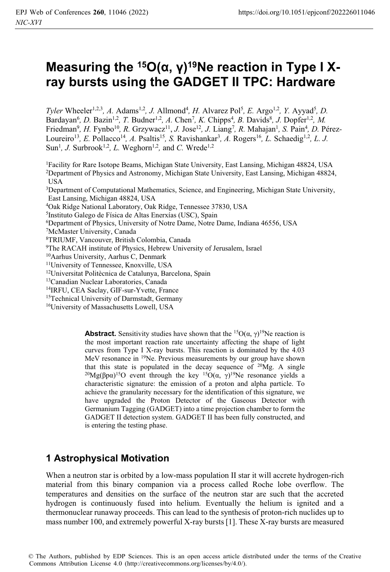# Measuring the <sup>15</sup>O(α, γ)<sup>19</sup>Ne reaction in Type I X**ray bursts using the GADGET II TPC: Hardware**

*Tyler* Wheeler<sup>1,2,3</sup>, A. Adams<sup>1,2</sup>, J. Allmond<sup>4</sup>, H. Alvarez Pol<sup>5</sup>, E. Argo<sup>1,2</sup>, Y. Ayyad<sup>5</sup>, D. Bardayan<sup>6</sup>, D. Bazin<sup>1,2</sup>, T. Budner<sup>1,2</sup>, A. Chen<sup>7</sup>, K. Chipps<sup>4</sup>, B. Davids<sup>8</sup>, J. Dopfer<sup>1,2</sup>, M. Friedman<sup>9</sup>, H. Fynbo<sup>10</sup>, R. Grzywacz<sup>11</sup>, J. Jose<sup>12</sup>, J. Liang<sup>7</sup>, R. Mahajan<sup>1</sup>, S. Pain<sup>4</sup>, D. Pérez-Loureiro<sup>13</sup>, E. Pollacco<sup>14</sup>, A. Psaltis<sup>15</sup>, S. Ravishankar<sup>3</sup>, A. Rogers<sup>16</sup>, L. Schaedig<sup>1,2</sup>, L. J. Sun<sup>1</sup>, *J.* Surbrook<sup>1,2</sup>, *L.* Weghorn<sup>1,2</sup>, and *C.* Wrede<sup>1,2</sup>

<sup>1</sup>Facility for Rare Isotope Beams, Michigan State University, East Lansing, Michigan 48824, USA <sup>2</sup>Department of Physics and Astronomy, Michigan State University, East Lansing, Michigan 48824, USA

3Department of Computational Mathematics, Science, and Engineering, Michigan State University, East Lansing, Michigan 48824, USA

4Oak Ridge National Laboratory, Oak Ridge, Tennessee 37830, USA

- <sup>5</sup>Instituto Galego de Física de Altas Enerxías (USC), Spain<br><sup>6</sup>Department of Physics, University of Notre Dame, Notre Dame, Indiana 46556, USA<br><sup>7</sup>McMaster University, Canada
- 

8TRIUMF, Vancouver, British Colombia, Canada

- 9The RACAH institute of Physics, Hebrew University of Jerusalem, Israel 10Aarhus University, Aarhus C, Denmark
- 

11University of Tennessee, Knoxville, USA

- 12Universitat Politècnica de Catalunya, Barcelona, Spain
- 13Canadian Nuclear Laboratories, Canada
- 14IRFU, CEA Saclay, GIF-sur-Yvette, France

<sup>15</sup>Technical University of Darmstadt, Germany  $16$ University of Massachusetts Lowell, USA

**Abstract.** Sensitivity studies have shown that the <sup>15</sup>O( $\alpha$ ,  $\gamma$ )<sup>19</sup>Ne reaction is the most important reaction rate uncertainty affecting the shape of light curves from Type I X-ray bursts. This reaction is dominated by the 4.03 MeV resonance in <sup>19</sup>Ne. Previous measurements by our group have shown that this state is populated in the decay sequence of <sup>20</sup>Mg. A single <sup>20</sup>Mg(βpα)<sup>15</sup>O event through the key <sup>15</sup>O(α, γ)<sup>19</sup>Ne resonance yields a characteristic signature: the emission of a proton and alpha particle. To achieve the granularity necessary for the identification of this signature, we have upgraded the Proton Detector of the Gaseous Detector with Germanium Tagging (GADGET) into a time projection chamber to form the GADGET II detection system. GADGET II has been fully constructed, and is entering the testing phase.

# **1 Astrophysical Motivation**

When a neutron star is orbited by a low-mass population II star it will accrete hydrogen-rich material from this binary companion via a process called Roche lobe overflow. The temperatures and densities on the surface of the neutron star are such that the accreted hydrogen is continuously fused into helium. Eventually the helium is ignited and a thermonuclear runaway proceeds. This can lead to the synthesis of proton-rich nuclides up to mass number 100, and extremely powerful X-ray bursts [1]. These X-ray bursts are measured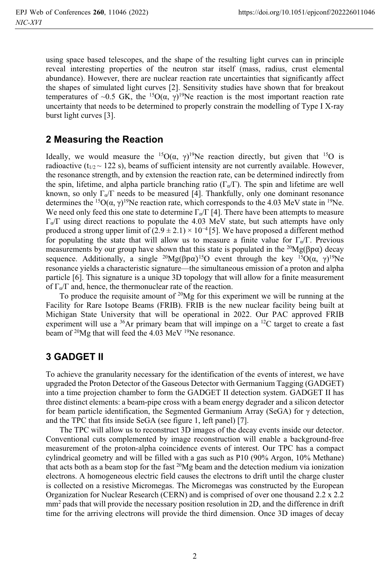using space based telescopes, and the shape of the resulting light curves can in principle reveal interesting properties of the neutron star itself (mass, radius, crust elemental abundance). However, there are nuclear reaction rate uncertainties that significantly affect the shapes of simulated light curves [2]. Sensitivity studies have shown that for breakout temperatures of ~0.5 GK, the <sup>15</sup>O( $\alpha$ ,  $\gamma$ )<sup>19</sup>Ne reaction is the most important reaction rate uncertainty that needs to be determined to properly constrain the modelling of Type I X-ray burst light curves [3].

# **2 Measuring the Reaction**

Ideally, we would measure the <sup>15</sup>O( $\alpha$ ,  $\gamma$ )<sup>19</sup>Ne reaction directly, but given that <sup>15</sup>O is radioactive ( $t_{1/2} \sim 122$  s), beams of sufficient intensity are not currently available. However, the resonance strength, and by extension the reaction rate, can be determined indirectly from the spin, lifetime, and alpha particle branching ratio ( $\Gamma_{\alpha}/\Gamma$ ). The spin and lifetime are well known, so only  $\Gamma_{\alpha}/\Gamma$  needs to be measured [4]. Thankfully, only one dominant resonance determines the <sup>15</sup>O( $\alpha$ ,  $\gamma$ )<sup>19</sup>Ne reaction rate, which corresponds to the 4.03 MeV state in <sup>19</sup>Ne. We need only feed this one state to determine  $\Gamma_{\alpha}/\Gamma$  [4]. There have been attempts to measure  $\Gamma_{\alpha}/\Gamma$  using direct reactions to populate the 4.03 MeV state, but such attempts have only produced a strong upper limit of  $(2.9 \pm 2.1) \times 10^{-4}$  [5]. We have proposed a different method for populating the state that will allow us to measure a finite value for  $\Gamma_{\alpha}/\Gamma$ . Previous measurements by our group have shown that this state is populated in the <sup>20</sup>Mg( $\beta$ p $\alpha$ ) decay sequence. Additionally, a single <sup>20</sup>Mg( $\beta$ pα)<sup>15</sup>O event through the key <sup>15</sup>O( $\alpha$ ,  $\gamma$ )<sup>19</sup>Ne resonance yields a characteristic signature—the simultaneous emission of a proton and alpha particle [6]. This signature is a unique 3D topology that will allow for a finite measurement of  $\Gamma_{\alpha}/\Gamma$  and, hence, the thermonuclear rate of the reaction.

To produce the requisite amount of  $20Mg$  for this experiment we will be running at the Facility for Rare Isotope Beams (FRIB). FRIB is the new nuclear facility being built at Michigan State University that will be operational in 2022. Our PAC approved FRIB experiment will use a  $36$ Ar primary beam that will impinge on a  $12$ C target to create a fast beam of <sup>20</sup>Mg that will feed the 4.03 MeV <sup>19</sup>Ne resonance.

# **3 GADGET II**

To achieve the granularity necessary for the identification of the events of interest, we have upgraded the Proton Detector of the Gaseous Detector with Germanium Tagging (GADGET) into a time projection chamber to form the GADGET II detection system. GADGET II has three distinct elements: a beam-pipe cross with a beam energy degrader and a silicon detector for beam particle identification, the Segmented Germanium Array (SeGA) for γ detection, and the TPC that fits inside SeGA (see figure 1, left panel) [7].

 The TPC will allow us to reconstruct 3D images of the decay events inside our detector. Conventional cuts complemented by image reconstruction will enable a background-free measurement of the proton-alpha coincidence events of interest. Our TPC has a compact cylindrical geometry and will be filled with a gas such as P10 (90% Argon, 10% Methane) that acts both as a beam stop for the fast  $^{20}Mg$  beam and the detection medium via ionization electrons. A homogeneous electric field causes the electrons to drift until the charge cluster is collected on a resistive Micromegas. The Micromegas was constructed by the European Organization for Nuclear Research (CERN) and is comprised of over one thousand 2.2 x 2.2 mm2 pads that will provide the necessary position resolution in 2D, and the difference in drift time for the arriving electrons will provide the third dimension. Once 3D images of decay